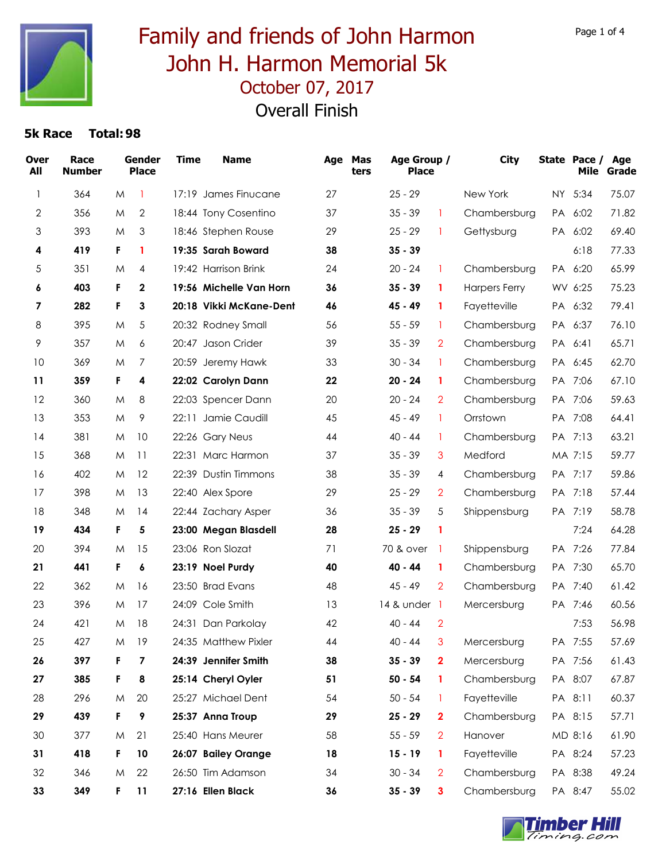

### October 07, 2017 Family and friends of John Harmon John H. Harmon Memorial 5k Overall Finish

| <b>Over</b><br>All | Race<br><b>Number</b> |    | Gender<br><b>Place</b> | <b>Time</b> | <b>Name</b>             | Age | Mas<br>ters | Age Group /<br><b>Place</b> |                | <b>City</b>          |           | State Pace /<br>Mile | Age<br>Grade |
|--------------------|-----------------------|----|------------------------|-------------|-------------------------|-----|-------------|-----------------------------|----------------|----------------------|-----------|----------------------|--------------|
| $\mathbf{1}$       | 364                   | M  | 1                      |             | 17:19 James Finucane    | 27  |             | $25 - 29$                   |                | New York             | NY.       | 5:34                 | 75.07        |
| 2                  | 356                   | M  | $\mathbf{2}$           |             | 18:44 Tony Cosentino    | 37  |             | $35 - 39$                   | $\mathbf{1}$   | Chambersburg         | PA        | 6:02                 | 71.82        |
| 3                  | 393                   | M  | 3                      |             | 18:46 Stephen Rouse     | 29  |             | $25 - 29$                   | 1              | Gettysburg           |           | PA 6:02              | 69.40        |
| 4                  | 419                   | F. | 1                      |             | 19:35 Sarah Boward      | 38  |             | $35 - 39$                   |                |                      |           | 6:18                 | 77.33        |
| 5                  | 351                   | M  | 4                      |             | 19:42 Harrison Brink    | 24  |             | $20 - 24$                   | 1              | Chambersburg         |           | PA 6:20              | 65.99        |
| 6                  | 403                   | F. | $\mathbf{2}$           |             | 19:56 Michelle Van Horn | 36  |             | $35 - 39$                   | 1              | <b>Harpers Ferry</b> |           | WV 6:25              | 75.23        |
| 7                  | 282                   | F. | 3                      |             | 20:18 Vikki McKane-Dent | 46  |             | $45 - 49$                   | 1              | Fayetteville         | PA        | 6:32                 | 79.41        |
| 8                  | 395                   | M  | 5                      |             | 20:32 Rodney Small      | 56  |             | $55 - 59$                   | $\mathbf{1}$   | Chambersburg         |           | PA 6:37              | 76.10        |
| 9                  | 357                   | M  | 6                      |             | 20:47 Jason Crider      | 39  |             | $35 - 39$                   | $\overline{2}$ | Chambersburg         | <b>PA</b> | 6:41                 | 65.71        |
| 10                 | 369                   | M  | 7                      |             | 20:59 Jeremy Hawk       | 33  |             | $30 - 34$                   | 1              | Chambersburg         | PA        | 6:45                 | 62.70        |
| 11                 | 359                   | F. | 4                      |             | 22:02 Carolyn Dann      | 22  |             | $20 - 24$                   | 1              | Chambersburg         |           | PA 7:06              | 67.10        |
| 12                 | 360                   | M  | 8                      |             | 22:03 Spencer Dann      | 20  |             | $20 - 24$                   | $\overline{2}$ | Chambersburg         |           | PA 7:06              | 59.63        |
| 13                 | 353                   | M  | 9                      |             | 22:11 Jamie Caudill     | 45  |             | $45 - 49$                   | 1              | Orrstown             |           | PA 7:08              | 64.41        |
| 14                 | 381                   | M  | 10                     |             | 22:26 Gary Neus         | 44  |             | $40 - 44$                   | 1              | Chambersburg         | <b>PA</b> | 7:13                 | 63.21        |
| 15                 | 368                   | M  | 11                     |             | 22:31 Marc Harmon       | 37  |             | $35 - 39$                   | 3              | Medford              |           | MA 7:15              | 59.77        |
| 16                 | 402                   | M  | 12                     |             | 22:39 Dustin Timmons    | 38  |             | $35 - 39$                   | 4              | Chambersburg         | <b>PA</b> | 7:17                 | 59.86        |
| 17                 | 398                   | M  | 13                     |             | 22:40 Alex Spore        | 29  |             | $25 - 29$                   | $\overline{2}$ | Chambersburg         |           | PA 7:18              | 57.44        |
| 18                 | 348                   | M  | 14                     |             | 22:44 Zachary Asper     | 36  |             | $35 - 39$                   | 5              | Shippensburg         |           | PA 7:19              | 58.78        |
| 19                 | 434                   | F. | 5                      |             | 23:00 Megan Blasdell    | 28  |             | $25 - 29$                   | 1              |                      |           | 7:24                 | 64.28        |
| 20                 | 394                   | M  | 15                     |             | 23:06 Ron Slozat        | 71  |             | 70 & over                   | $\overline{1}$ | Shippensburg         |           | PA 7:26              | 77.84        |
| 21                 | 441                   | F. | 6                      |             | 23:19 Noel Purdy        | 40  |             | 40 - 44                     | 1              | Chambersburg         |           | PA 7:30              | 65.70        |
| 22                 | 362                   | M  | 16                     |             | 23:50 Brad Evans        | 48  |             | $45 - 49$                   | $\overline{2}$ | Chambersburg         |           | PA 7:40              | 61.42        |
| 23                 | 396                   | M  | 17                     |             | 24:09 Cole Smith        | 13  |             | 14 & under 1                |                | Mercersburg          | PA.       | 7:46                 | 60.56        |
| 24                 | 421                   | M  | 18                     |             | 24:31 Dan Parkolay      | 42  |             | $40 - 44$                   | $\overline{2}$ |                      |           | 7:53                 | 56.98        |
| 25                 | 427                   | M  | 19                     |             | 24:35 Matthew Pixler    | 44  |             | $40 - 44$                   | 3              | Mercersburg          |           | PA 7:55              | 57.69        |
| 26                 | 397                   | F. | 7                      |             | 24:39 Jennifer Smith    | 38  |             | $35 - 39$                   | $\mathbf{2}$   | Mercersburg          |           | PA 7:56              | 61.43        |
| 27                 | 385                   | F. | 8                      |             | 25:14 Cheryl Oyler      | 51  |             | $50 - 54$                   | 1              | Chambersburg         |           | PA 8:07              | 67.87        |
| 28                 | 296                   | M  | 20                     |             | 25:27 Michael Dent      | 54  |             | $50 - 54$                   | 1              | Fayetteville         |           | PA 8:11              | 60.37        |
| 29                 | 439                   | F  | 9                      |             | 25:37 Anna Troup        | 29  |             | $25 - 29$                   | $\mathbf{2}$   | Chambersburg         |           | PA 8:15              | 57.71        |
| 30                 | 377                   | M  | 21                     |             | 25:40 Hans Meurer       | 58  |             | $55 - 59$                   | $\overline{2}$ | Hanover              |           | MD 8:16              | 61.90        |
| 31                 | 418                   | F  | 10                     |             | 26:07 Bailey Orange     | 18  |             | $15 - 19$                   | 1              | Fayetteville         |           | PA 8:24              | 57.23        |
| 32                 | 346                   | M  | 22                     |             | 26:50 Tim Adamson       | 34  |             | $30 - 34$                   | $\overline{2}$ | Chambersburg         |           | PA 8:38              | 49.24        |
| 33                 | 349                   | F. | 11                     |             | 27:16 Ellen Black       | 36  |             | $35 - 39$                   | 3              | Chambersburg         |           | PA 8:47              | 55.02        |

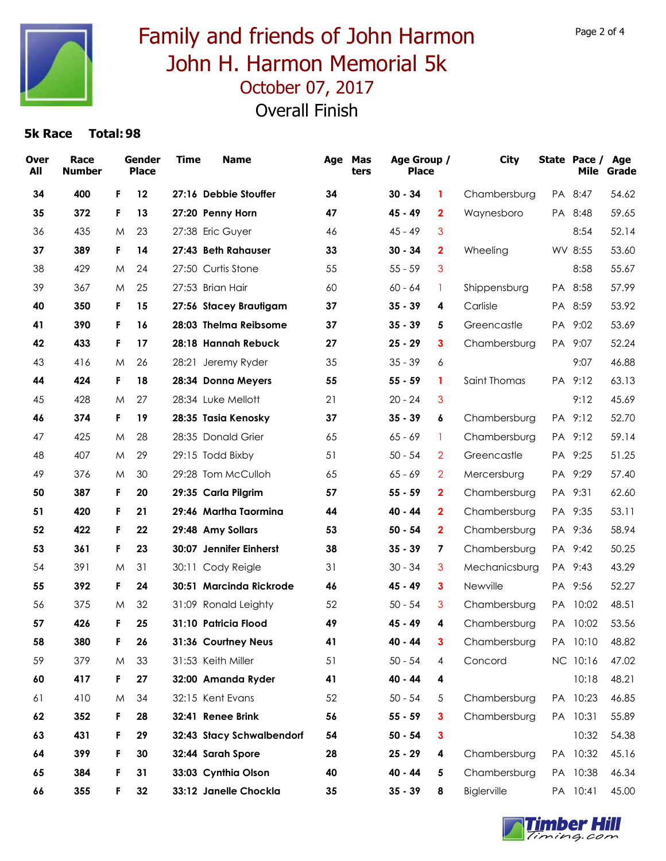

# October 07, 2017 Family and friends of John Harmon John H. Harmon Memorial 5k

Overall Finish

| <b>Over</b><br>All | Race<br><b>Number</b> |    | Gender<br><b>Place</b> | <b>Time</b> | <b>Name</b>               | Age | Mas<br>ters | Age Group /<br><b>Place</b> |                         | <b>City</b>   |           | State Pace /<br>Mile | Age<br>Grade |
|--------------------|-----------------------|----|------------------------|-------------|---------------------------|-----|-------------|-----------------------------|-------------------------|---------------|-----------|----------------------|--------------|
| 34                 | 400                   | F  | 12                     |             | 27:16 Debbie Stouffer     | 34  |             | $30 - 34$                   | 1                       | Chambersburg  | PA        | 8:47                 | 54.62        |
| 35                 | 372                   | F  | 13                     |             | 27:20 Penny Horn          | 47  |             | $45 - 49$                   | $\mathbf{2}$            | Waynesboro    |           | PA 8:48              | 59.65        |
| 36                 | 435                   | M  | 23                     |             | 27:38 Eric Guyer          | 46  |             | $45 - 49$                   | 3                       |               |           | 8:54                 | 52.14        |
| 37                 | 389                   | F  | 14                     |             | 27:43 Beth Rahauser       | 33  |             | $30 - 34$                   | $\mathbf{2}$            | Wheeling      |           | WV 8:55              | 53.60        |
| 38                 | 429                   | M  | 24                     |             | 27:50 Curtis Stone        | 55  |             | $55 - 59$                   | 3                       |               |           | 8:58                 | 55.67        |
| 39                 | 367                   | M  | 25                     |             | 27:53 Brian Hair          | 60  |             | $60 - 64$                   | 1                       | Shippensburg  |           | PA 8:58              | 57.99        |
| 40                 | 350                   | F  | 15                     |             | 27:56 Stacey Brautigam    | 37  |             | $35 - 39$                   | 4                       | Carlisle      |           | PA 8:59              | 53.92        |
| 41                 | 390                   | F  | 16                     |             | 28:03 Thelma Reibsome     | 37  |             | $35 - 39$                   | 5                       | Greencastle   |           | PA 9:02              | 53.69        |
| 42                 | 433                   | F  | 17                     |             | 28:18 Hannah Rebuck       | 27  |             | $25 - 29$                   | 3                       | Chambersburg  |           | PA 9:07              | 52.24        |
| 43                 | 416                   | M  | 26                     | 28:21       | Jeremy Ryder              | 35  |             | $35 - 39$                   | 6                       |               |           | 9:07                 | 46.88        |
| 44                 | 424                   | F. | 18                     |             | 28:34 Donna Meyers        | 55  |             | $55 - 59$                   | 1                       | Saint Thomas  |           | PA 9:12              | 63.13        |
| 45                 | 428                   | M  | 27                     |             | 28:34 Luke Mellott        | 21  |             | $20 - 24$                   | 3                       |               |           | 9:12                 | 45.69        |
| 46                 | 374                   | F  | 19                     |             | 28:35 Tasia Kenosky       | 37  |             | $35 - 39$                   | 6                       | Chambersburg  |           | PA 9:12              | 52.70        |
| 47                 | 425                   | M  | 28                     |             | 28:35 Donald Grier        | 65  |             | $65 - 69$                   | 1                       | Chambersburg  | PA        | 9:12                 | 59.14        |
| 48                 | 407                   | M  | 29                     |             | 29:15 Todd Bixby          | 51  |             | $50 - 54$                   | $\overline{2}$          | Greencastle   | PA.       | 9:25                 | 51.25        |
| 49                 | 376                   | M  | 30                     |             | 29:28 Tom McCulloh        | 65  |             | $65 - 69$                   | $\overline{2}$          | Mercersburg   | <b>PA</b> | 9:29                 | 57.40        |
| 50                 | 387                   | F  | 20                     |             | 29:35 Carla Pilgrim       | 57  |             | $55 - 59$                   | $\overline{\mathbf{2}}$ | Chambersburg  | PA        | 9:31                 | 62.60        |
| 51                 | 420                   | F  | 21                     |             | 29:46 Martha Taormina     | 44  |             | 40 - 44                     | $\mathbf{2}$            | Chambersburg  |           | PA 9:35              | 53.11        |
| 52                 | 422                   | F  | 22                     |             | 29:48 Amy Sollars         | 53  |             | $50 - 54$                   | $\mathbf{2}$            | Chambersburg  |           | PA 9:36              | 58.94        |
| 53                 | 361                   | F  | 23                     |             | 30:07 Jennifer Einherst   | 38  |             | $35 - 39$                   | 7                       | Chambersburg  |           | PA 9:42              | 50.25        |
| 54                 | 391                   | M  | 31                     |             | 30:11 Cody Reigle         | 31  |             | $30 - 34$                   | 3                       | Mechanicsburg |           | PA 9:43              | 43.29        |
| 55                 | 392                   | F  | 24                     |             | 30:51 Marcinda Rickrode   | 46  |             | 45 - 49                     | 3                       | Newville      |           | PA 9:56              | 52.27        |
| 56                 | 375                   | M  | 32                     |             | 31:09 Ronald Leighty      | 52  |             | $50 - 54$                   | 3                       | Chambersburg  | РA        | 10:02                | 48.51        |
| 57                 | 426                   | F  | 25                     |             | 31:10 Patricia Flood      | 49  |             | $45 - 49$                   | 4                       | Chambersburg  |           | PA 10:02             | 53.56        |
| 58                 | 380                   | F  | 26                     |             | 31:36 Courtney Neus       | 41  |             | 40 - 44                     | 3                       | Chambersburg  |           | PA 10:10             | 48.82        |
| 59                 | 379                   | M  | 33                     |             | 31:53 Keith Miller        | 51  |             | $50 - 54$                   | 4                       | Concord       |           | NC 10:16             | 47.02        |
| 60                 | 417                   | F  | 27                     |             | 32:00 Amanda Ryder        | 41  |             | 40 - 44                     | 4                       |               |           | 10:18                | 48.21        |
| 61                 | 410                   | M  | 34                     |             | 32:15 Kent Evans          | 52  |             | $50 - 54$                   | 5                       | Chambersburg  |           | PA 10:23             | 46.85        |
| 62                 | 352                   | F  | 28                     |             | 32:41 Renee Brink         | 56  |             | $55 - 59$                   | 3                       | Chambersburg  |           | PA 10:31             | 55.89        |
| 63                 | 431                   | F  | 29                     |             | 32:43 Stacy Schwalbendorf | 54  |             | $50 - 54$                   | $\mathbf{3}$            |               |           | 10:32                | 54.38        |
| 64                 | 399                   | F  | 30                     |             | 32:44 Sarah Spore         | 28  |             | $25 - 29$                   | 4                       | Chambersburg  |           | PA 10:32             | 45.16        |
| 65                 | 384                   | F  | 31                     |             | 33:03 Cynthia Olson       | 40  |             | 40 - 44                     | 5                       | Chambersburg  |           | PA 10:38             | 46.34        |
| 66                 | 355                   | F  | 32                     |             | 33:12 Janelle Chockla     | 35  |             | $35 - 39$                   | 8                       | Biglerville   |           | PA 10:41             | 45.00        |

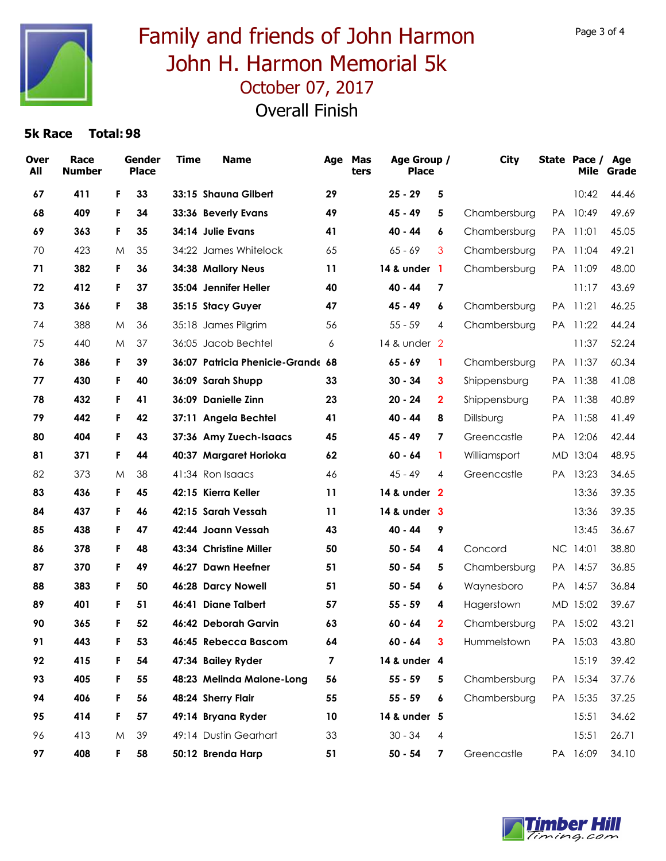![](_page_2_Picture_0.jpeg)

# October 07, 2017 Family and friends of John Harmon John H. Harmon Memorial 5k

Overall Finish

| <b>Over</b><br>All | Race<br><b>Number</b> |    | Gender<br><b>Place</b> | <b>Time</b> | <b>Name</b>                       | Age | Mas<br>ters | Age Group /<br><b>Place</b> |                         | <b>City</b>  |           | State Pace / Age<br>Mile | Grade |
|--------------------|-----------------------|----|------------------------|-------------|-----------------------------------|-----|-------------|-----------------------------|-------------------------|--------------|-----------|--------------------------|-------|
| 67                 | 411                   | F  | 33                     |             | 33:15 Shauna Gilbert              | 29  |             | $25 - 29$                   | 5                       |              |           | 10:42                    | 44.46 |
| 68                 | 409                   | F  | 34                     |             | 33:36 Beverly Evans               | 49  |             | $45 - 49$                   | 5                       | Chambersburg | PA        | 10:49                    | 49.69 |
| 69                 | 363                   | F  | 35                     |             | 34:14 Julie Evans                 | 41  |             | 40 - 44                     | 6                       | Chambersburg | <b>PA</b> | 11:01                    | 45.05 |
| 70                 | 423                   | M  | 35                     |             | 34:22 James Whitelock             | 65  |             | $65 - 69$                   | 3                       | Chambersburg | PA.       | 11:04                    | 49.21 |
| 71                 | 382                   | F  | 36                     |             | 34:38 Mallory Neus                | 11  |             | 14 & under 1                |                         | Chambersburg | PA.       | 11:09                    | 48.00 |
| 72                 | 412                   | F  | 37                     |             | 35:04 Jennifer Heller             | 40  |             | 40 - 44                     | $\overline{7}$          |              |           | 11:17                    | 43.69 |
| 73                 | 366                   | F  | 38                     |             | 35:15 Stacy Guyer                 | 47  |             | $45 - 49$                   | 6                       | Chambersburg | <b>PA</b> | 11:21                    | 46.25 |
| 74                 | 388                   | M  | 36                     |             | 35:18 James Pilgrim               | 56  |             | $55 - 59$                   | 4                       | Chambersburg | <b>PA</b> | 11:22                    | 44.24 |
| 75                 | 440                   | M  | 37                     |             | 36:05 Jacob Bechtel               | 6   |             | 14 & under 2                |                         |              |           | 11:37                    | 52.24 |
| 76                 | 386                   | F  | 39                     |             | 36:07 Patricia Phenicie-Grande 68 |     |             | $65 - 69$                   | 1                       | Chambersburg | <b>PA</b> | 11:37                    | 60.34 |
| 77                 | 430                   | F  | 40                     |             | 36:09 Sarah Shupp                 | 33  |             | $30 - 34$                   | 3                       | Shippensburg |           | PA 11:38                 | 41.08 |
| 78                 | 432                   | F  | 41                     |             | 36:09 Danielle Zinn               | 23  |             | $20 - 24$                   | $\mathbf{2}$            | Shippensburg | <b>PA</b> | 11:38                    | 40.89 |
| 79                 | 442                   | F  | 42                     |             | 37:11 Angela Bechtel              | 41  |             | 40 - 44                     | 8                       | Dillsburg    |           | PA 11:58                 | 41.49 |
| 80                 | 404                   | F  | 43                     |             | 37:36 Amy Zuech-Isaacs            | 45  |             | 45 - 49                     | 7                       | Greencastle  | <b>PA</b> | 12:06                    | 42.44 |
| 81                 | 371                   | F  | 44                     |             | 40:37 Margaret Horioka            | 62  |             | 60 - 64                     | 1                       | Williamsport |           | MD 13:04                 | 48.95 |
| 82                 | 373                   | M  | 38                     |             | 41:34 Ron Isaacs                  | 46  |             | $45 - 49$                   | 4                       | Greencastle  |           | PA 13:23                 | 34.65 |
| 83                 | 436                   | F. | 45                     |             | 42:15 Kierra Keller               | 11  |             | 14 & under 2                |                         |              |           | 13:36                    | 39.35 |
| 84                 | 437                   | F  | 46                     |             | 42:15 Sarah Vessah                | 11  |             | 14 & under 3                |                         |              |           | 13:36                    | 39.35 |
| 85                 | 438                   | F  | 47                     |             | 42:44 Joann Vessah                | 43  |             | 40 - 44                     | 9                       |              |           | 13:45                    | 36.67 |
| 86                 | 378                   | F  | 48                     |             | 43:34 Christine Miller            | 50  |             | $50 - 54$                   | 4                       | Concord      |           | NC 14:01                 | 38.80 |
| 87                 | 370                   | F  | 49                     |             | 46:27 Dawn Heefner                | 51  |             | $50 - 54$                   | 5                       | Chambersburg | <b>PA</b> | 14:57                    | 36.85 |
| 88                 | 383                   | F  | 50                     |             | 46:28 Darcy Nowell                | 51  |             | 50 - 54                     | 6                       | Waynesboro   | PA.       | 14:57                    | 36.84 |
| 89                 | 401                   | F  | 51                     |             | 46:41 Diane Talbert               | 57  |             | $55 - 59$                   | 4                       | Hagerstown   |           | MD 15:02                 | 39.67 |
| 90                 | 365                   | F  | 52                     |             | 46:42 Deborah Garvin              | 63  |             | $60 - 64$                   | $\mathbf{2}$            | Chambersburg |           | PA 15:02                 | 43.21 |
| 91                 | 443                   | F  | 53                     |             | 46:45 Rebecca Bascom              | 64  |             | $60 - 64$                   | 3                       | Hummelstown  |           | PA 15:03                 | 43.80 |
| 92                 | 415                   | F  | 54                     |             | 47:34 Bailey Ryder                | 7   |             | 14 & under 4                |                         |              |           | 15:19                    | 39.42 |
| 93                 | 405                   | F  | 55                     |             | 48:23 Melinda Malone-Long         | 56  |             | $55 - 59$                   | 5                       | Chambersburg |           | PA 15:34                 | 37.76 |
| 94                 | 406                   | F  | 56                     |             | 48:24 Sherry Flair                | 55  |             | $55 - 59$                   | 6                       | Chambersburg |           | PA 15:35                 | 37.25 |
| 95                 | 414                   | F  | 57                     |             | 49:14 Bryana Ryder                | 10  |             | 14 & under 5                |                         |              |           | 15:51                    | 34.62 |
| 96                 | 413                   | M  | 39                     |             | 49:14 Dustin Gearhart             | 33  |             | $30 - 34$                   | 4                       |              |           | 15:51                    | 26.71 |
| 97                 | 408                   | F  | 58                     |             | 50:12 Brenda Harp                 | 51  |             | $50 - 54$                   | $\overline{\mathbf{z}}$ | Greencastle  |           | PA 16:09                 | 34.10 |

![](_page_2_Picture_5.jpeg)